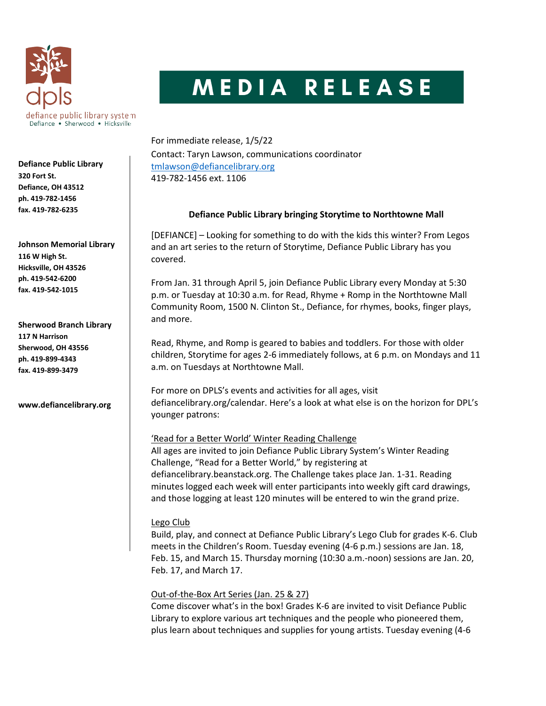

**Defiance Public Library 320 Fort St. Defiance, OH 43512 ph. 419-782-1456 fax. 419-782-6235**

**Johnson Memorial Library 116 W High St. Hicksville, OH 43526 ph. 419-542-6200 fax. 419-542-1015**

**Sherwood Branch Library 117 N Harrison Sherwood, OH 43556 ph. 419-899-4343 fax. 419-899-3479**

**www.defiancelibrary.org**

## MEDIA RELEASE

For immediate release, 1/5/22 Contact: Taryn Lawson, communications coordinator [tmlawson@defiancelibrary.org](mailto:tmlawson@defiancelibrary.org) 419-782-1456 ext. 1106

## **Defiance Public Library bringing Storytime to Northtowne Mall**

[DEFIANCE] – Looking for something to do with the kids this winter? From Legos and an art series to the return of Storytime, Defiance Public Library has you covered.

From Jan. 31 through April 5, join Defiance Public Library every Monday at 5:30 p.m. or Tuesday at 10:30 a.m. for Read, Rhyme + Romp in the Northtowne Mall Community Room, 1500 N. Clinton St., Defiance, for rhymes, books, finger plays, and more.

Read, Rhyme, and Romp is geared to babies and toddlers. For those with older children, Storytime for ages 2-6 immediately follows, at 6 p.m. on Mondays and 11 a.m. on Tuesdays at Northtowne Mall.

For more on DPLS's events and activities for all ages, visit defiancelibrary.org/calendar. Here's a look at what else is on the horizon for DPL's younger patrons:

'Read for a Better World' Winter Reading Challenge All ages are invited to join Defiance Public Library System's Winter Reading Challenge, "Read for a Better World," by registering at defiancelibrary.beanstack.org. The Challenge takes place Jan. 1-31. Reading minutes logged each week will enter participants into weekly gift card drawings, and those logging at least 120 minutes will be entered to win the grand prize.

## Lego Club

Build, play, and connect at Defiance Public Library's Lego Club for grades K-6. Club meets in the Children's Room. Tuesday evening (4-6 p.m.) sessions are Jan. 18, Feb. 15, and March 15. Thursday morning (10:30 a.m.-noon) sessions are Jan. 20, Feb. 17, and March 17.

## Out-of-the-Box Art Series (Jan. 25 & 27)

Come discover what's in the box! Grades K-6 are invited to visit Defiance Public Library to explore various art techniques and the people who pioneered them, plus learn about techniques and supplies for young artists. Tuesday evening (4-6